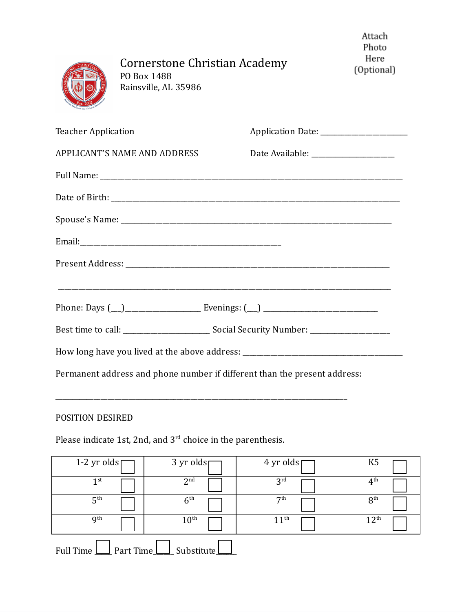|                                     | Cornerstone Christian Academy<br>PO Box 1488<br>Rainsville, AL 35986 |                                                                           | Attach<br>Photo<br>Here<br>(Optional) |
|-------------------------------------|----------------------------------------------------------------------|---------------------------------------------------------------------------|---------------------------------------|
| <b>Teacher Application</b>          |                                                                      |                                                                           |                                       |
| <b>APPLICANT'S NAME AND ADDRESS</b> |                                                                      | Date Available: _____________________                                     |                                       |
|                                     |                                                                      |                                                                           |                                       |
|                                     |                                                                      |                                                                           |                                       |
|                                     |                                                                      |                                                                           |                                       |
|                                     |                                                                      |                                                                           |                                       |
|                                     |                                                                      |                                                                           |                                       |
|                                     |                                                                      |                                                                           |                                       |
|                                     |                                                                      |                                                                           |                                       |
|                                     |                                                                      |                                                                           |                                       |
|                                     |                                                                      | Permanent address and phone number if different than the present address: |                                       |

## POSITION DESIRED

Please indicate 1st, 2nd, and  $3<sup>rd</sup>$  choice in the parenthesis.

\_\_\_\_\_\_\_\_\_\_\_\_\_\_\_\_\_\_\_\_\_\_\_\_\_\_\_\_\_\_\_\_\_\_\_\_\_\_\_\_\_\_\_\_\_\_\_\_\_\_\_\_\_\_\_\_\_\_\_\_\_\_\_\_\_\_\_\_\_\_\_\_\_\_\_\_\_\_\_\_\_\_\_\_

| 1-2 yr olds $\lceil$   | 3 yr oldsp       | 4 yr olds        | K <sub>5</sub>   |
|------------------------|------------------|------------------|------------------|
| 1 <sup>st</sup>        | 2 <sup>nd</sup>  | 3 <sup>rd</sup>  | $4^{\text{th}}$  |
| 5 <sup>th</sup>        | 6 <sup>th</sup>  | 7 <sup>th</sup>  | 8 <sup>th</sup>  |
| <b>g</b> th            | $10^{\text{th}}$ | 11 <sup>th</sup> | 12 <sup>th</sup> |
| Full Time<br>Part Time | Substitute       |                  |                  |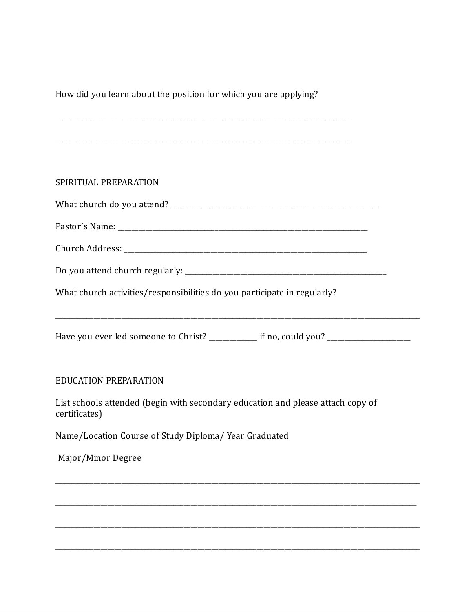How did you learn about the position for which you are applying?

| SPIRITUAL PREPARATION                                                                            |  |
|--------------------------------------------------------------------------------------------------|--|
|                                                                                                  |  |
|                                                                                                  |  |
|                                                                                                  |  |
|                                                                                                  |  |
|                                                                                                  |  |
|                                                                                                  |  |
| What church activities/responsibilities do you participate in regularly?                         |  |
|                                                                                                  |  |
|                                                                                                  |  |
|                                                                                                  |  |
| <b>EDUCATION PREPARATION</b>                                                                     |  |
| List schools attended (begin with secondary education and please attach copy of<br>certificates) |  |
| Name/Location Course of Study Diploma/ Year Graduated                                            |  |
| Major/Minor Degree                                                                               |  |
|                                                                                                  |  |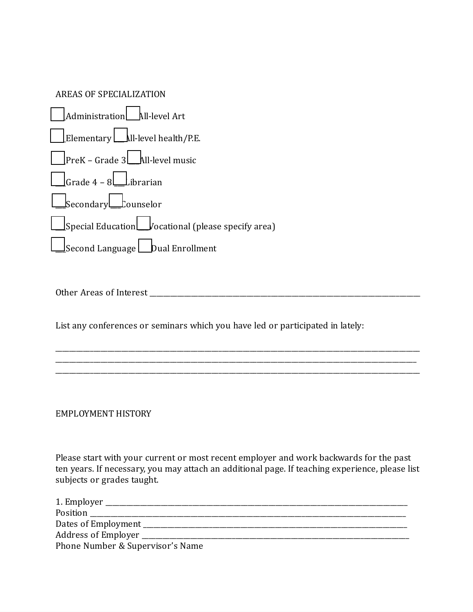| AREAS OF SPECIALIZATION                                          |
|------------------------------------------------------------------|
| Administration All-level Art                                     |
|                                                                  |
| $\vert$ PreK – Grade 3 $\vert$ All-level music                   |
| $\Box$ Grade 4 – 8 $\Box$ ibrarian                               |
| Secondary Counselor                                              |
| $\Box$ Special Education $\Box$ vocational (please specify area) |
| Second Language $\Box$ Dual Enrollment                           |

Other Areas of Interest \_\_\_\_\_\_\_\_\_\_\_\_\_\_\_\_\_\_\_\_\_\_\_\_\_\_\_\_\_\_\_\_\_\_\_\_\_\_\_\_\_\_\_\_\_\_\_\_\_\_\_\_\_\_\_\_\_\_\_\_\_\_\_\_\_\_\_\_\_\_\_\_\_\_\_\_\_\_

List any conferences or seminars which you have led or participated in lately:

EMPLOYMENT HISTORY

Please start with your current or most recent employer and work backwards for the past ten years. If necessary, you may attach an additional page. If teaching experience, please list subjects or grades taught.

\_\_\_\_\_\_\_\_\_\_\_\_\_\_\_\_\_\_\_\_\_\_\_\_\_\_\_\_\_\_\_\_\_\_\_\_\_\_\_\_\_\_\_\_\_\_\_\_\_\_\_\_\_\_\_\_\_\_\_\_\_\_\_\_\_\_\_\_\_\_\_\_\_\_\_\_\_\_\_\_\_\_\_\_\_\_\_\_\_\_\_\_\_\_\_\_\_\_\_\_\_\_\_\_\_

\_\_\_\_\_\_\_\_\_\_\_\_\_\_\_\_\_\_\_\_\_\_\_\_\_\_\_\_\_\_\_\_\_\_\_\_\_\_\_\_\_\_\_\_\_\_\_\_\_\_\_\_\_\_\_\_\_\_\_\_\_\_\_\_\_\_\_\_\_\_\_\_\_\_\_\_\_\_\_\_\_\_\_\_\_\_\_\_\_\_\_\_\_\_\_\_\_\_\_\_\_\_\_\_\_

\_\_\_\_\_\_\_\_\_\_\_\_\_\_\_\_\_\_\_\_\_\_\_\_\_\_\_\_\_\_\_\_\_\_\_\_\_\_\_\_\_\_\_\_\_\_\_\_\_\_\_\_\_\_\_\_\_\_\_\_\_\_\_\_\_\_\_\_\_\_\_\_\_\_\_\_\_\_\_\_\_\_\_\_\_\_\_\_\_\_\_\_\_\_\_\_\_\_\_\_\_\_\_\_

| Position and the contract of the contract of the contract of the contract of the contract of the contract of the contract of the contract of the contract of the contract of the contract of the contract of the contract of t |
|--------------------------------------------------------------------------------------------------------------------------------------------------------------------------------------------------------------------------------|
|                                                                                                                                                                                                                                |
| Address of Employer                                                                                                                                                                                                            |
| Phone Number & Supervisor's Name                                                                                                                                                                                               |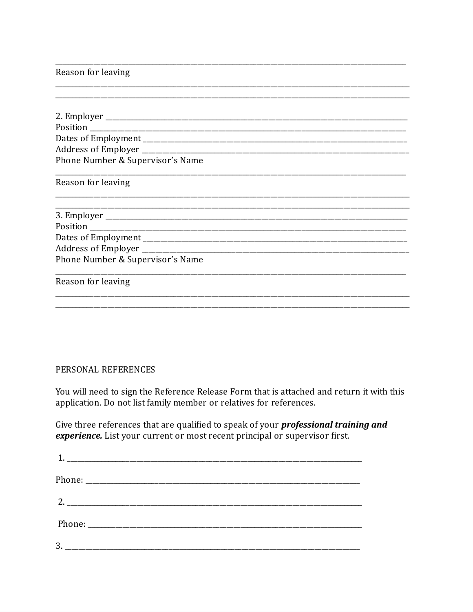## Reason for leaving

| Phone Number & Supervisor's Name |
|----------------------------------|
| Reason for leaving               |
|                                  |
|                                  |
|                                  |
|                                  |
| Phone Number & Supervisor's Name |
| Reason for leaving               |
|                                  |

## PERSONAL REFERENCES

You will need to sign the Reference Release Form that is attached and return it with this application. Do not list family member or relatives for references.

Give three references that are qualified to speak of your *professional training and* experience. List your current or most recent principal or supervisor first.

| 2. |  |
|----|--|
|    |  |
|    |  |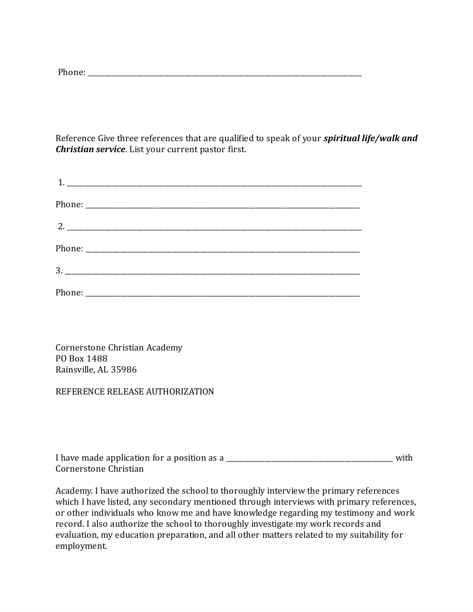Phone: \_\_\_\_\_\_\_\_\_\_\_\_\_\_\_\_\_\_\_\_\_\_\_\_\_\_\_\_\_\_\_\_\_\_\_\_\_\_\_\_\_\_\_\_\_\_\_\_\_\_\_\_\_\_\_\_\_\_\_\_\_\_\_\_\_\_\_\_\_\_\_\_\_\_\_\_\_\_\_

Reference Give three references that are qualified to speak of your *spiritual life/walk and Christian service*. List your current pastor first.

Cornerstone Christian Academy PO Box 1488 Rainsville, AL 35986

REFERENCE RELEASE AUTHORIZATION

| I have made application for a position as a | with |
|---------------------------------------------|------|
| Cornerstone Christian                       |      |

Academy. I have authorized the school to thoroughly interview the primary references which I have listed, any secondary mentioned through interviews with primary references, or other individuals who know me and have knowledge regarding my testimony and work record. I also authorize the school to thoroughly investigate my work records and evaluation, my education preparation, and all other matters related to my suitability for employment.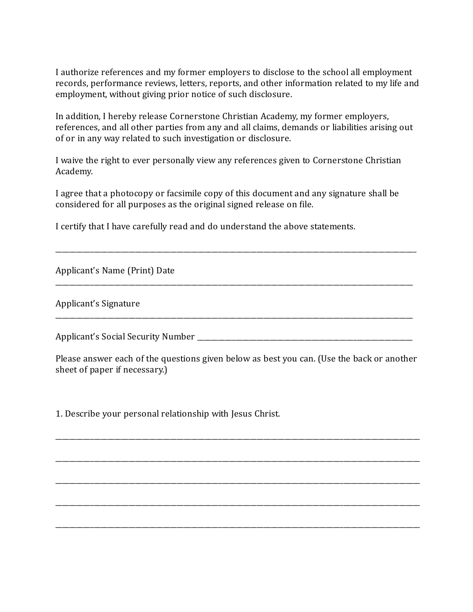I authorize references and my former employers to disclose to the school all employment records, performance reviews, letters, reports, and other information related to my life and employment, without giving prior notice of such disclosure.

In addition, I hereby release Cornerstone Christian Academy, my former employers, references, and all other parties from any and all claims, demands or liabilities arising out of or in any way related to such investigation or disclosure.

I waive the right to ever personally view any references given to Cornerstone Christian Academy.

I agree that a photocopy or facsimile copy of this document and any signature shall be considered for all purposes as the original signed release on file.

\_\_\_\_\_\_\_\_\_\_\_\_\_\_\_\_\_\_\_\_\_\_\_\_\_\_\_\_\_\_\_\_\_\_\_\_\_\_\_\_\_\_\_\_\_\_\_\_\_\_\_\_\_\_\_\_\_\_\_\_\_\_\_\_\_\_\_\_\_\_\_\_\_\_\_\_\_\_\_\_\_\_\_\_\_\_\_\_\_\_\_\_\_\_\_\_\_\_\_\_\_\_\_\_

\_\_\_\_\_\_\_\_\_\_\_\_\_\_\_\_\_\_\_\_\_\_\_\_\_\_\_\_\_\_\_\_\_\_\_\_\_\_\_\_\_\_\_\_\_\_\_\_\_\_\_\_\_\_\_\_\_\_\_\_\_\_\_\_\_\_\_\_\_\_\_\_\_\_\_\_\_\_\_\_\_\_\_\_\_\_\_\_\_\_\_\_\_\_\_\_\_\_\_\_\_\_\_

\_\_\_\_\_\_\_\_\_\_\_\_\_\_\_\_\_\_\_\_\_\_\_\_\_\_\_\_\_\_\_\_\_\_\_\_\_\_\_\_\_\_\_\_\_\_\_\_\_\_\_\_\_\_\_\_\_\_\_\_\_\_\_\_\_\_\_\_\_\_\_\_\_\_\_\_\_\_\_\_\_\_\_\_\_\_\_\_\_\_\_\_\_\_\_\_\_\_\_\_\_\_\_

I certify that I have carefully read and do understand the above statements.

Applicant's Name (Print) Date

Applicant's Signature

Applicant's Social Security Number

Please answer each of the questions given below as best you can. (Use the back or another sheet of paper if necessary.)

\_\_\_\_\_\_\_\_\_\_\_\_\_\_\_\_\_\_\_\_\_\_\_\_\_\_\_\_\_\_\_\_\_\_\_\_\_\_\_\_\_\_\_\_\_\_\_\_\_\_\_\_\_\_\_\_\_\_\_\_\_\_\_\_\_\_\_\_\_\_\_\_\_\_\_\_\_\_\_\_\_\_\_\_\_\_\_\_\_\_\_\_\_\_\_\_\_\_\_\_\_\_\_\_\_

\_\_\_\_\_\_\_\_\_\_\_\_\_\_\_\_\_\_\_\_\_\_\_\_\_\_\_\_\_\_\_\_\_\_\_\_\_\_\_\_\_\_\_\_\_\_\_\_\_\_\_\_\_\_\_\_\_\_\_\_\_\_\_\_\_\_\_\_\_\_\_\_\_\_\_\_\_\_\_\_\_\_\_\_\_\_\_\_\_\_\_\_\_\_\_\_\_\_\_\_\_\_\_\_\_

\_\_\_\_\_\_\_\_\_\_\_\_\_\_\_\_\_\_\_\_\_\_\_\_\_\_\_\_\_\_\_\_\_\_\_\_\_\_\_\_\_\_\_\_\_\_\_\_\_\_\_\_\_\_\_\_\_\_\_\_\_\_\_\_\_\_\_\_\_\_\_\_\_\_\_\_\_\_\_\_\_\_\_\_\_\_\_\_\_\_\_\_\_\_\_\_\_\_\_\_\_\_\_\_\_

\_\_\_\_\_\_\_\_\_\_\_\_\_\_\_\_\_\_\_\_\_\_\_\_\_\_\_\_\_\_\_\_\_\_\_\_\_\_\_\_\_\_\_\_\_\_\_\_\_\_\_\_\_\_\_\_\_\_\_\_\_\_\_\_\_\_\_\_\_\_\_\_\_\_\_\_\_\_\_\_\_\_\_\_\_\_\_\_\_\_\_\_\_\_\_\_\_\_\_\_\_\_\_\_\_

\_\_\_\_\_\_\_\_\_\_\_\_\_\_\_\_\_\_\_\_\_\_\_\_\_\_\_\_\_\_\_\_\_\_\_\_\_\_\_\_\_\_\_\_\_\_\_\_\_\_\_\_\_\_\_\_\_\_\_\_\_\_\_\_\_\_\_\_\_\_\_\_\_\_\_\_\_\_\_\_\_\_\_\_\_\_\_\_\_\_\_\_\_\_\_\_\_\_\_\_\_\_\_\_\_

1. Describe your personal relationship with Jesus Christ.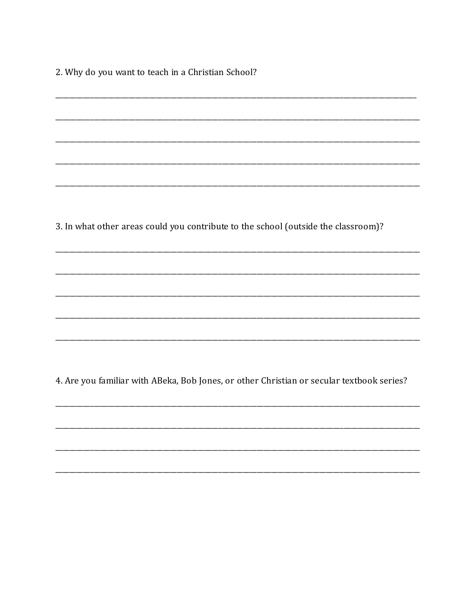2. Why do you want to teach in a Christian School?

3. In what other areas could you contribute to the school (outside the classroom)?

4. Are you familiar with ABeka, Bob Jones, or other Christian or secular textbook series?